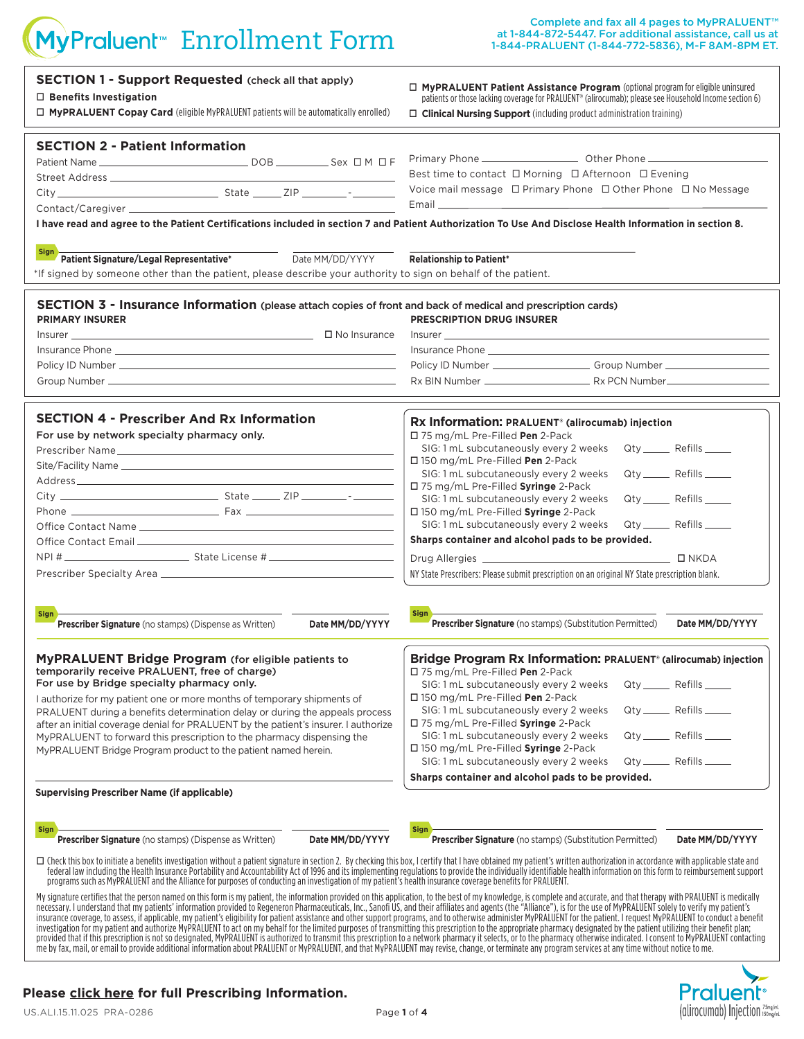# MyPraluent<sup>®</sup> Enrollment Form

| <b>SECTION 1 - Support Requested (check all that apply)</b><br>$\Box$ Benefits Investigation<br>$\Box$ MyPRALUENT Copay Card (eligible MyPRALUENT patients will be automatically enrolled)                                                                                                                                                                                                 | $\Box$ MyPRALUENT Patient Assistance Program (optional program for eligible uninsured<br>patients or those lacking coverage for PRALUENT <sup>®</sup> (alirocumab); please see Household Income section 6)<br>$\Box$ Clinical Nursing Support (including product administration training)                                                                                                                                                                                                                                                                                                                                                                   |  |  |  |  |  |
|--------------------------------------------------------------------------------------------------------------------------------------------------------------------------------------------------------------------------------------------------------------------------------------------------------------------------------------------------------------------------------------------|-------------------------------------------------------------------------------------------------------------------------------------------------------------------------------------------------------------------------------------------------------------------------------------------------------------------------------------------------------------------------------------------------------------------------------------------------------------------------------------------------------------------------------------------------------------------------------------------------------------------------------------------------------------|--|--|--|--|--|
| <b>SECTION 2 - Patient Information</b><br>I have read and agree to the Patient Certifications included in section 7 and Patient Authorization To Use And Disclose Health Information in section 8.                                                                                                                                                                                         | Best time to contact □ Morning □ Afternoon □ Evening<br>Voice mail message □ Primary Phone □ Other Phone □ No Message<br>Email <b>Experience and Contract Contract Contract Contract Contract Contract Contract Contract Contract Contract Contract Contract Contract Contract Contract Contract Contract Contract Contract Contract Contract Contract Co</b>                                                                                                                                                                                                                                                                                               |  |  |  |  |  |
| <b>Sign</b><br>Patient Signature/Legal Representative*<br>Date MM/DD/YYYY<br>*If signed by someone other than the patient, please describe your authority to sign on behalf of the patient.                                                                                                                                                                                                | <b>Relationship to Patient*</b>                                                                                                                                                                                                                                                                                                                                                                                                                                                                                                                                                                                                                             |  |  |  |  |  |
| <b>SECTION 3 - Insurance Information</b> (please attach copies of front and back of medical and prescription cards)<br><b>PRIMARY INSURER</b>                                                                                                                                                                                                                                              | <b>PRESCRIPTION DRUG INSURER</b>                                                                                                                                                                                                                                                                                                                                                                                                                                                                                                                                                                                                                            |  |  |  |  |  |
| <b>SECTION 4 - Prescriber And Rx Information</b><br>For use by network specialty pharmacy only.                                                                                                                                                                                                                                                                                            | Rx Information: PRALUENT® (alirocumab) injection<br>□ 75 mg/mL Pre-Filled Pen 2-Pack<br>Qty ______ Refills _____<br>SIG: 1 mL subcutaneously every 2 weeks<br>□ 150 mg/mL Pre-Filled Pen 2-Pack<br>Qty ______ Refills _____<br>SIG: 1 mL subcutaneously every 2 weeks<br>□ 75 mg/mL Pre-Filled Syringe 2-Pack<br>SIG: 1 mL subcutaneously every 2 weeks<br>Qty _______ Refills ______<br>□ 150 mg/mL Pre-Filled Syringe 2-Pack<br>Qty _______ Refills ______<br>SIG: 1 mL subcutaneously every 2 weeks<br>Sharps container and alcohol pads to be provided.<br>NY State Prescribers: Please submit prescription on an original NY State prescription blank. |  |  |  |  |  |
| <b>Sign</b><br>Prescriber Signature (no stamps) (Dispense as Written)<br>Date MM/DD/YYYY<br>MyPRALUENT Bridge Program (for eligible patients to<br>temporarily receive PRALUENT, free of charge)<br>For use by Bridge specialty pharmacy only.<br>I authorize for my patient one or more months of temporary shipments of                                                                  | Sign<br>Prescriber Signature (no stamps) (Substitution Permitted)<br>Date MM/DD/YYYY<br>Bridge Program Rx Information: PRALUENT® (alirocumab) injection<br>□ 75 mg/mL Pre-Filled Pen 2-Pack<br>Qty _______ Refills ____<br>SIG: 1 mL subcutaneously every 2 weeks<br>□ 150 mg/mL Pre-Filled Pen 2-Pack                                                                                                                                                                                                                                                                                                                                                      |  |  |  |  |  |
| PRALUENT during a benefits determination delay or during the appeals process<br>after an initial coverage denial for PRALUENT by the patient's insurer. I authorize<br>MyPRALUENT to forward this prescription to the pharmacy dispensing the<br>MyPRALUENT Bridge Program product to the patient named herein.                                                                            | Qty _______ Refills ____<br>SIG: 1 mL subcutaneously every 2 weeks<br>$\Box$ 75 mg/mL Pre-Filled Syringe 2-Pack<br>Qty ______ Refills ____<br>SIG: 1 mL subcutaneously every 2 weeks<br>□ 150 mg/mL Pre-Filled Syringe 2-Pack<br>SIG: 1 mL subcutaneously every 2 weeks<br>Qty ________ Refills _______<br>Sharps container and alcohol pads to be provided.                                                                                                                                                                                                                                                                                                |  |  |  |  |  |
| <b>Supervising Prescriber Name (if applicable)</b><br>Sign<br><b>Prescriber Signature</b> (no stamps) (Dispense as Written)<br>Date MM/DD/YYYY                                                                                                                                                                                                                                             | Sign<br>Prescriber Signature (no stamps) (Substitution Permitted)<br>Date MM/DD/YYYY                                                                                                                                                                                                                                                                                                                                                                                                                                                                                                                                                                        |  |  |  |  |  |
| □ Check this box to initiate a benefits investigation without a patient signature in section 2. By checking this box, I certify that I have obtained my patient's written authorization in accordance with applicable state a<br>programs such as MyPRALUENT and the Alliance for purposes of conducting an investigation of my patient's health insurance coverage benefits for PRALUENT. | federal law including the Health Insurance Portability and Accountability Act of 1996 and its implementing regulations to provide the individually identifiable health information on this form to reimbursement support<br>My signature certifies that the person named on this form is my patient, the information provided on this application, to the best of my knowledge, is complete and accurate, and that therapy with PRALUENT is medically<br>Dece                                                                                                                                                                                               |  |  |  |  |  |

My signature certifies that the person named on this form is my patient, the information provided on this application, to the best of my knowledge, is complete and accurate, and that therapy with PRALUENT is medically nece me by fax, mail, or email to provide additional information about PRALUENT or MyPRALUENT, and that MyPRALUENT may revise, change, or terminate any program services at any time without notice to me.



#### **[Please click here for full Prescribing Information.](http://products.sanofi.us/praluent/praluent.pdf)**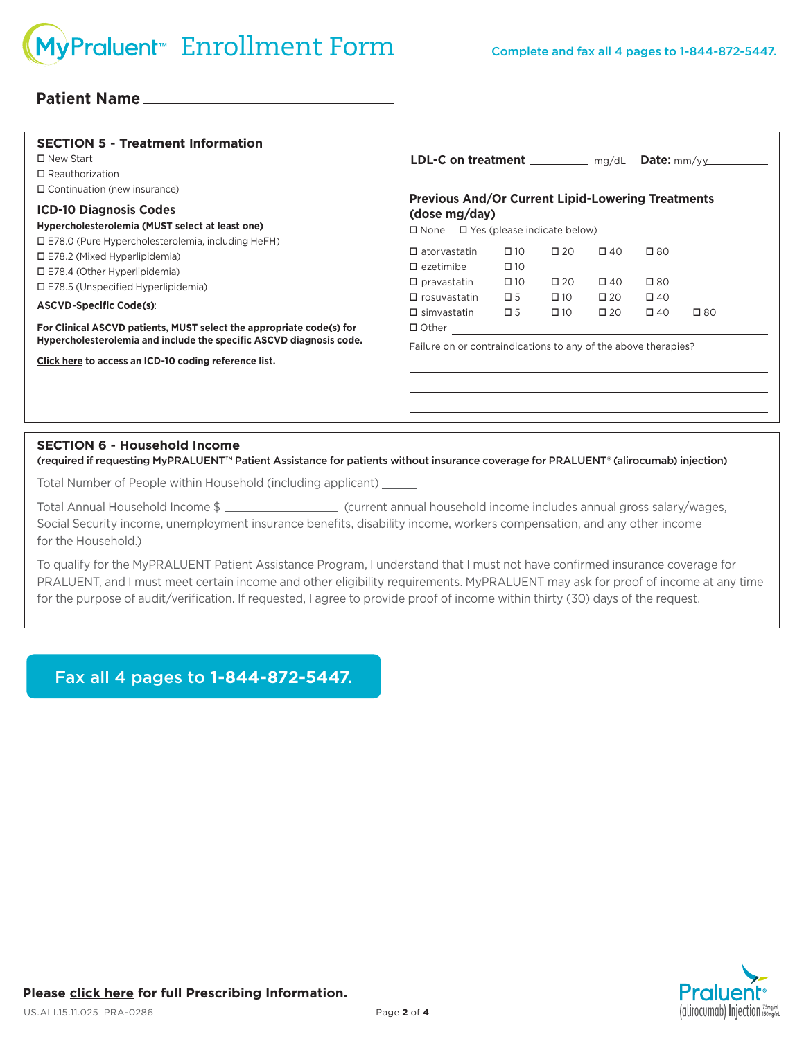### **Patient Name**

| <b>SECTION 5 - Treatment Information</b><br>$\Box$ New Start<br>$\Box$ Reauthorization                                                                                                                                                                      | <b>LDL-C</b> on treatment $\frac{mg}{dL}$ Date: $\frac{mm}{y}$                                                              |                                              |                              |                              |                              |              |
|-------------------------------------------------------------------------------------------------------------------------------------------------------------------------------------------------------------------------------------------------------------|-----------------------------------------------------------------------------------------------------------------------------|----------------------------------------------|------------------------------|------------------------------|------------------------------|--------------|
| $\Box$ Continuation (new insurance)<br><b>ICD-10 Diagnosis Codes</b><br>Hypercholesterolemia (MUST select at least one)<br>$\square$ E78.0 (Pure Hypercholesterolemia, including HeFH)                                                                      | <b>Previous And/Or Current Lipid-Lowering Treatments</b><br>(dose mg/day)<br>$\Box$ None $\Box$ Yes (please indicate below) |                                              |                              |                              |                              |              |
| $\square$ E78.2 (Mixed Hyperlipidemia)<br>$\square$ E78.4 (Other Hyperlipidemia)<br>$\square$ E78.5 (Unspecified Hyperlipidemia)<br>ASCVD-Specific Code(s): ASCVD-Specific Code(s):<br>For Clinical ASCVD patients, MUST select the appropriate code(s) for | $\Box$ atorvastatin<br>$\square$ ezetimibe<br>$\square$ pravastatin                                                         | $\square$ 10<br>$\square$ 10<br>$\square$ 10 | $\square$ 20<br>$\square$ 20 | $\Box$ 40<br>$\square$ 40    | $\square$ 80<br>$\square$ 80 |              |
|                                                                                                                                                                                                                                                             | $\Box$ rosuvastatin<br>$\Box$ simvastatin<br>$\Box$ Other $\Box$                                                            | $\square$ 5<br>$\square$ 5                   | $\square$ 10<br>$\square$ 10 | $\square$ 20<br>$\square$ 20 | $\square$ 40<br>$\square$ 40 | $\square$ 80 |
| Hypercholesterolemia and include the specific ASCVD diagnosis code.<br>Click here to access an ICD-10 coding reference list.                                                                                                                                | Failure on or contraindications to any of the above therapies?                                                              |                                              |                              |                              |                              |              |
|                                                                                                                                                                                                                                                             |                                                                                                                             |                                              |                              |                              |                              |              |
| <b>SECTION 6 - Household Income</b><br>(required if requesting MyPRALUENT™ Patient Assistance for patients without insurance coverage for PRALUENT® (alirocumab) injection)                                                                                 |                                                                                                                             |                                              |                              |                              |                              |              |

Total Number of People within Household (including applicant)

Total Annual Household Income \$ \_\_\_\_\_\_\_\_\_\_\_\_\_\_\_\_\_\_\_\_\_\_\_\_(current annual household income includes annual gross salary/wages, Social Security income, unemployment insurance benefits, disability income, workers compensation, and any other income for the Household.)

To qualify for the MyPRALUENT Patient Assistance Program, I understand that I must not have confirmed insurance coverage for PRALUENT, and I must meet certain income and other eligibility requirements. MyPRALUENT may ask for proof of income at any time for the purpose of audit/verification. If requested, I agree to provide proof of income within thirty (30) days of the request.

Fax all 4 pages to **1-844-872-5447**.

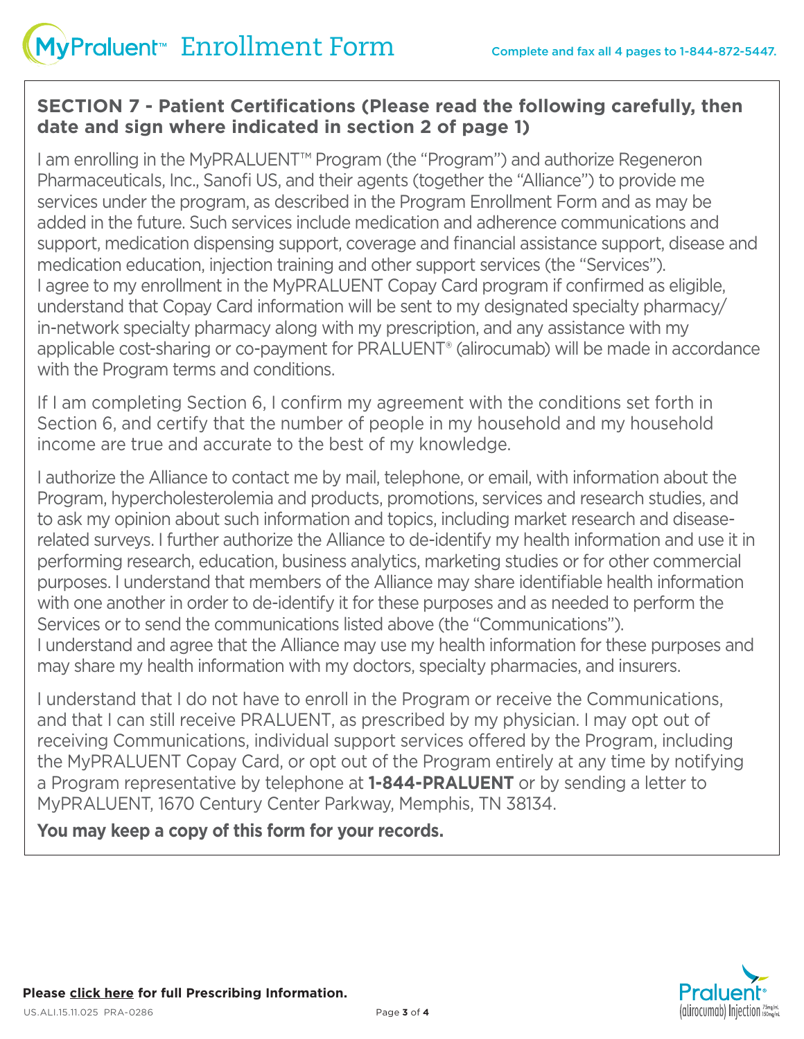## **SECTION 7 - Patient Certifications (Please read the following carefully, then date and sign where indicated in section 2 of page 1)**

I am enrolling in the MyPRALUENT™ Program (the "Program") and authorize Regeneron PharmaceuticaIs, Inc., Sanofi US, and their agents (together the "Alliance") to provide me services under the program, as described in the Program Enrollment Form and as may be added in the future. Such services include medication and adherence communications and support, medication dispensing support, coverage and financial assistance support, disease and medication education, injection training and other support services (the "Services"). I agree to my enrollment in the MyPRALUENT Copay Card program if confirmed as eligible, understand that Copay Card information will be sent to my designated specialty pharmacy/ in-network specialty pharmacy along with my prescription, and any assistance with my applicable cost-sharing or co-payment for PRALUENT® (alirocumab) will be made in accordance with the Program terms and conditions.

If I am completing Section 6, I confirm my agreement with the conditions set forth in Section 6, and certify that the number of people in my household and my household income are true and accurate to the best of my knowledge.

I authorize the Alliance to contact me by mail, telephone, or email, with information about the Program, hypercholesterolemia and products, promotions, services and research studies, and to ask my opinion about such information and topics, including market research and diseaserelated surveys. I further authorize the Alliance to de-identify my health information and use it in performing research, education, business analytics, marketing studies or for other commercial purposes. I understand that members of the Alliance may share identifiable health information with one another in order to de-identify it for these purposes and as needed to perform the Services or to send the communications listed above (the "Communications"). I understand and agree that the Alliance may use my health information for these purposes and may share my health information with my doctors, specialty pharmacies, and insurers.

I understand that I do not have to enroll in the Program or receive the Communications, and that I can still receive PRALUENT, as prescribed by my physician. I may opt out of receiving Communications, individual support services offered by the Program, including the MyPRALUENT Copay Card, or opt out of the Program entirely at any time by notifying a Program representative by telephone at **1-844-PRALUENT** or by sending a letter to MyPRALUENT, 1670 Century Center Parkway, Memphis, TN 38134.

**You may keep a copy of this form for your records.**